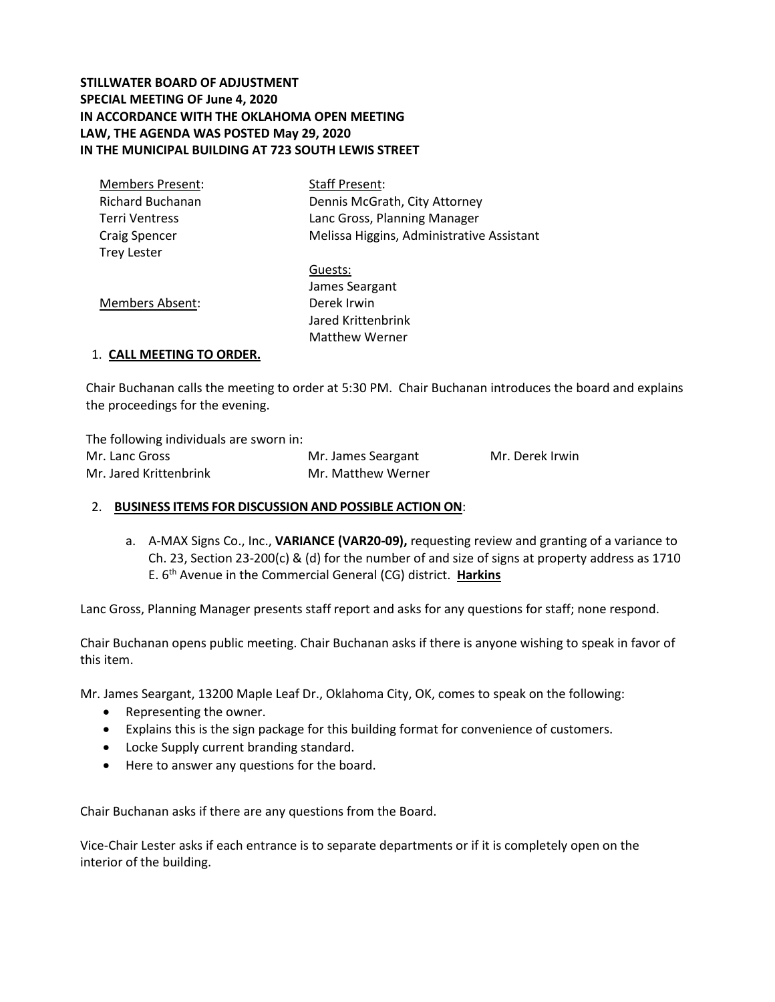# **STILLWATER BOARD OF ADJUSTMENT SPECIAL MEETING OF June 4, 2020 IN ACCORDANCE WITH THE OKLAHOMA OPEN MEETING LAW, THE AGENDA WAS POSTED May 29, 2020 IN THE MUNICIPAL BUILDING AT 723 SOUTH LEWIS STREET**

| Members Present: | <b>Staff Present:</b>                     |
|------------------|-------------------------------------------|
| Richard Buchanan | Dennis McGrath, City Attorney             |
| Terri Ventress   | Lanc Gross, Planning Manager              |
| Craig Spencer    | Melissa Higgins, Administrative Assistant |
| Trey Lester      |                                           |
|                  | Guests:                                   |
|                  | James Seargant                            |
| Members Absent:  | Derek Irwin                               |
|                  | Jared Krittenbrink                        |
|                  | <b>Matthew Werner</b>                     |
|                  |                                           |

## 1. **CALL MEETING TO ORDER.**

Chair Buchanan calls the meeting to order at 5:30 PM. Chair Buchanan introduces the board and explains the proceedings for the evening.

The following individuals are sworn in: Mr. Lanc Gross Mr. James Seargant Mr. Derek Irwin Mr. Jared Krittenbrink Mr. Matthew Werner

## 2. **BUSINESS ITEMS FOR DISCUSSION AND POSSIBLE ACTION ON**:

a. A-MAX Signs Co., Inc., **VARIANCE (VAR20-09),** requesting review and granting of a variance to Ch. 23, Section 23-200(c) & (d) for the number of and size of signs at property address as 1710 E. 6th Avenue in the Commercial General (CG) district. **Harkins** 

Lanc Gross, Planning Manager presents staff report and asks for any questions for staff; none respond.

Chair Buchanan opens public meeting. Chair Buchanan asks if there is anyone wishing to speak in favor of this item.

Mr. James Seargant, 13200 Maple Leaf Dr., Oklahoma City, OK, comes to speak on the following:

- Representing the owner.
- Explains this is the sign package for this building format for convenience of customers.
- Locke Supply current branding standard.
- Here to answer any questions for the board.

Chair Buchanan asks if there are any questions from the Board.

Vice-Chair Lester asks if each entrance is to separate departments or if it is completely open on the interior of the building.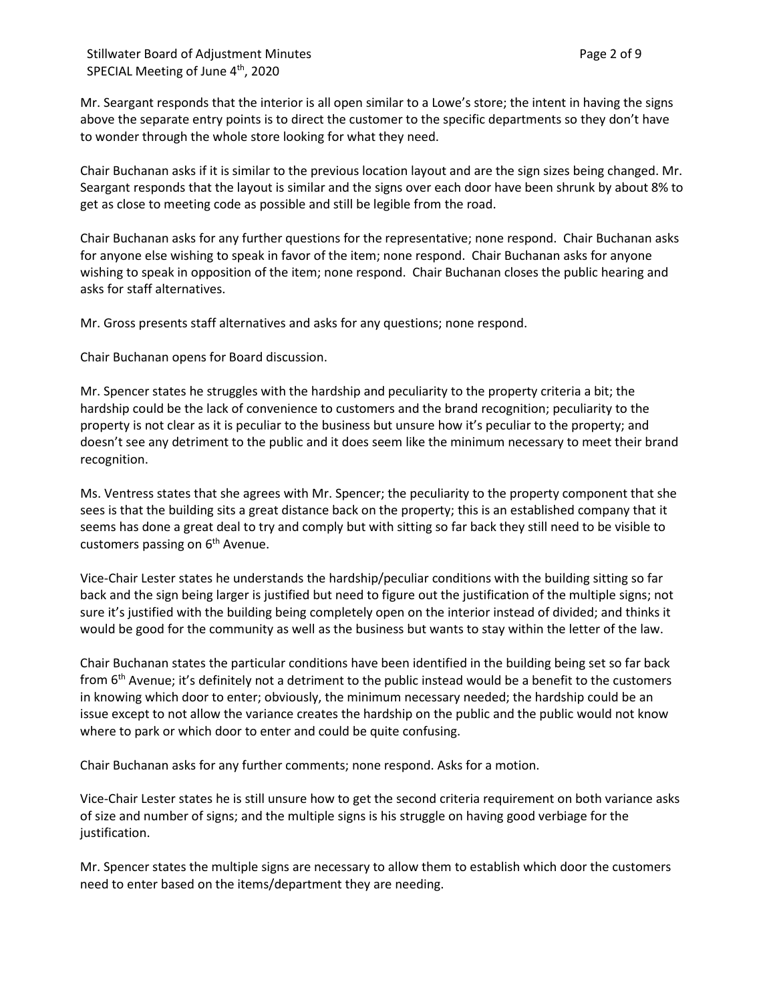Stillwater Board of Adjustment Minutes **Page 2 of 9** and 2 of 9 SPECIAL Meeting of June 4<sup>th</sup>, 2020

Mr. Seargant responds that the interior is all open similar to a Lowe's store; the intent in having the signs above the separate entry points is to direct the customer to the specific departments so they don't have to wonder through the whole store looking for what they need.

Chair Buchanan asks if it is similar to the previous location layout and are the sign sizes being changed. Mr. Seargant responds that the layout is similar and the signs over each door have been shrunk by about 8% to get as close to meeting code as possible and still be legible from the road.

Chair Buchanan asks for any further questions for the representative; none respond. Chair Buchanan asks for anyone else wishing to speak in favor of the item; none respond. Chair Buchanan asks for anyone wishing to speak in opposition of the item; none respond. Chair Buchanan closes the public hearing and asks for staff alternatives.

Mr. Gross presents staff alternatives and asks for any questions; none respond.

Chair Buchanan opens for Board discussion.

Mr. Spencer states he struggles with the hardship and peculiarity to the property criteria a bit; the hardship could be the lack of convenience to customers and the brand recognition; peculiarity to the property is not clear as it is peculiar to the business but unsure how it's peculiar to the property; and doesn't see any detriment to the public and it does seem like the minimum necessary to meet their brand recognition.

Ms. Ventress states that she agrees with Mr. Spencer; the peculiarity to the property component that she sees is that the building sits a great distance back on the property; this is an established company that it seems has done a great deal to try and comply but with sitting so far back they still need to be visible to customers passing on  $6<sup>th</sup>$  Avenue.

Vice-Chair Lester states he understands the hardship/peculiar conditions with the building sitting so far back and the sign being larger is justified but need to figure out the justification of the multiple signs; not sure it's justified with the building being completely open on the interior instead of divided; and thinks it would be good for the community as well as the business but wants to stay within the letter of the law.

Chair Buchanan states the particular conditions have been identified in the building being set so far back from 6<sup>th</sup> Avenue; it's definitely not a detriment to the public instead would be a benefit to the customers in knowing which door to enter; obviously, the minimum necessary needed; the hardship could be an issue except to not allow the variance creates the hardship on the public and the public would not know where to park or which door to enter and could be quite confusing.

Chair Buchanan asks for any further comments; none respond. Asks for a motion.

Vice-Chair Lester states he is still unsure how to get the second criteria requirement on both variance asks of size and number of signs; and the multiple signs is his struggle on having good verbiage for the justification.

Mr. Spencer states the multiple signs are necessary to allow them to establish which door the customers need to enter based on the items/department they are needing.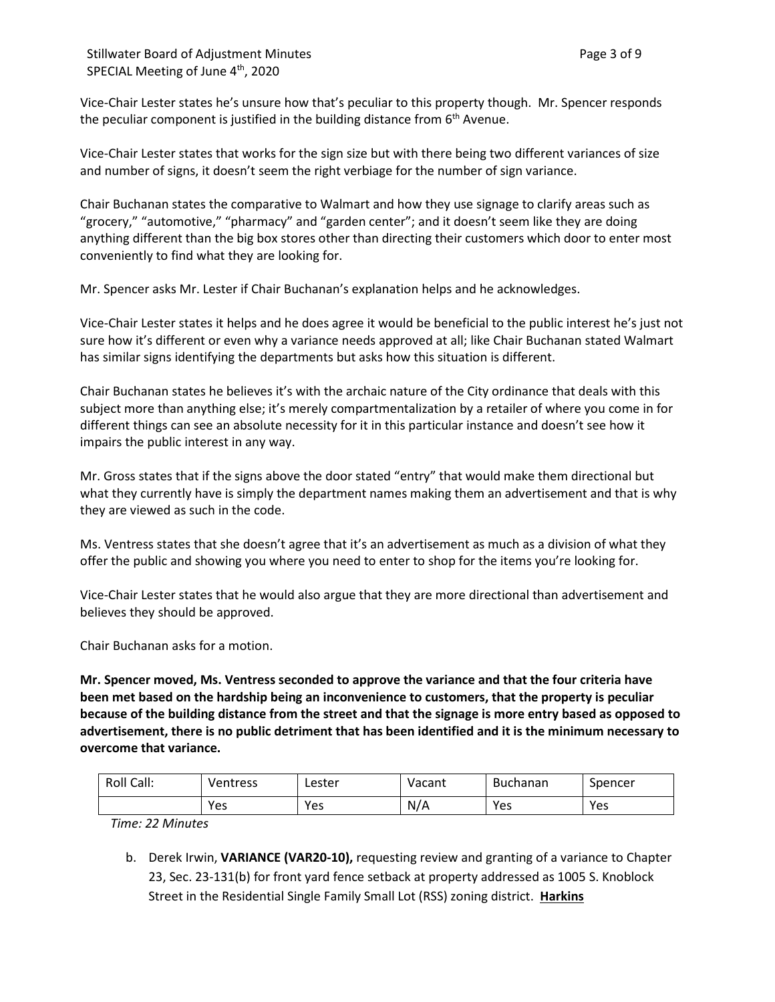Vice-Chair Lester states he's unsure how that's peculiar to this property though. Mr. Spencer responds the peculiar component is justified in the building distance from  $6<sup>th</sup>$  Avenue.

Vice-Chair Lester states that works for the sign size but with there being two different variances of size and number of signs, it doesn't seem the right verbiage for the number of sign variance.

Chair Buchanan states the comparative to Walmart and how they use signage to clarify areas such as "grocery," "automotive," "pharmacy" and "garden center"; and it doesn't seem like they are doing anything different than the big box stores other than directing their customers which door to enter most conveniently to find what they are looking for.

Mr. Spencer asks Mr. Lester if Chair Buchanan's explanation helps and he acknowledges.

Vice-Chair Lester states it helps and he does agree it would be beneficial to the public interest he's just not sure how it's different or even why a variance needs approved at all; like Chair Buchanan stated Walmart has similar signs identifying the departments but asks how this situation is different.

Chair Buchanan states he believes it's with the archaic nature of the City ordinance that deals with this subject more than anything else; it's merely compartmentalization by a retailer of where you come in for different things can see an absolute necessity for it in this particular instance and doesn't see how it impairs the public interest in any way.

Mr. Gross states that if the signs above the door stated "entry" that would make them directional but what they currently have is simply the department names making them an advertisement and that is why they are viewed as such in the code.

Ms. Ventress states that she doesn't agree that it's an advertisement as much as a division of what they offer the public and showing you where you need to enter to shop for the items you're looking for.

Vice-Chair Lester states that he would also argue that they are more directional than advertisement and believes they should be approved.

Chair Buchanan asks for a motion.

**Mr. Spencer moved, Ms. Ventress seconded to approve the variance and that the four criteria have been met based on the hardship being an inconvenience to customers, that the property is peculiar because of the building distance from the street and that the signage is more entry based as opposed to advertisement, there is no public detriment that has been identified and it is the minimum necessary to overcome that variance.** 

| Roll Call: | Ventress | Lester | Vacant | Buchanan | Spencer |
|------------|----------|--------|--------|----------|---------|
|            | Yes      | Yes    | N/A    | Yes      | Yes     |

*Time: 22 Minutes*

b. Derek Irwin, **VARIANCE (VAR20-10),** requesting review and granting of a variance to Chapter 23, Sec. 23-131(b) for front yard fence setback at property addressed as 1005 S. Knoblock Street in the Residential Single Family Small Lot (RSS) zoning district. **Harkins**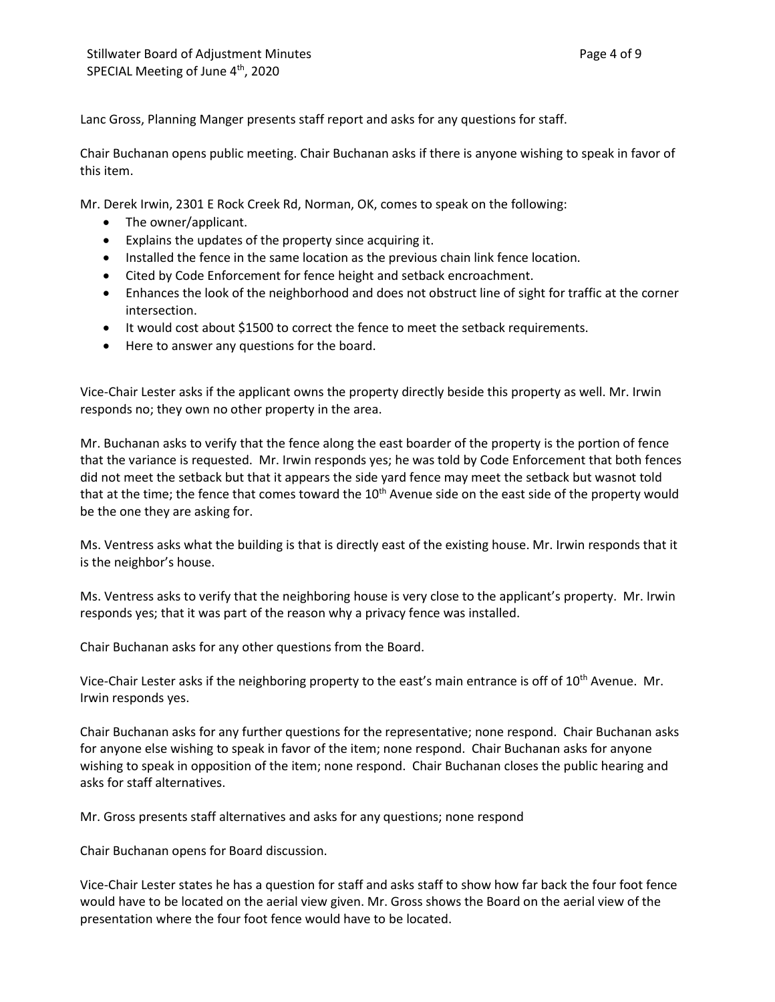Lanc Gross, Planning Manger presents staff report and asks for any questions for staff.

Chair Buchanan opens public meeting. Chair Buchanan asks if there is anyone wishing to speak in favor of this item.

Mr. Derek Irwin, 2301 E Rock Creek Rd, Norman, OK, comes to speak on the following:

- The owner/applicant.
- Explains the updates of the property since acquiring it.
- Installed the fence in the same location as the previous chain link fence location.
- Cited by Code Enforcement for fence height and setback encroachment.
- Enhances the look of the neighborhood and does not obstruct line of sight for traffic at the corner intersection.
- It would cost about \$1500 to correct the fence to meet the setback requirements.
- Here to answer any questions for the board.

Vice-Chair Lester asks if the applicant owns the property directly beside this property as well. Mr. Irwin responds no; they own no other property in the area.

Mr. Buchanan asks to verify that the fence along the east boarder of the property is the portion of fence that the variance is requested. Mr. Irwin responds yes; he was told by Code Enforcement that both fences did not meet the setback but that it appears the side yard fence may meet the setback but wasnot told that at the time; the fence that comes toward the 10<sup>th</sup> Avenue side on the east side of the property would be the one they are asking for.

Ms. Ventress asks what the building is that is directly east of the existing house. Mr. Irwin responds that it is the neighbor's house.

Ms. Ventress asks to verify that the neighboring house is very close to the applicant's property. Mr. Irwin responds yes; that it was part of the reason why a privacy fence was installed.

Chair Buchanan asks for any other questions from the Board.

Vice-Chair Lester asks if the neighboring property to the east's main entrance is off of 10<sup>th</sup> Avenue. Mr. Irwin responds yes.

Chair Buchanan asks for any further questions for the representative; none respond. Chair Buchanan asks for anyone else wishing to speak in favor of the item; none respond. Chair Buchanan asks for anyone wishing to speak in opposition of the item; none respond. Chair Buchanan closes the public hearing and asks for staff alternatives.

Mr. Gross presents staff alternatives and asks for any questions; none respond

Chair Buchanan opens for Board discussion.

Vice-Chair Lester states he has a question for staff and asks staff to show how far back the four foot fence would have to be located on the aerial view given. Mr. Gross shows the Board on the aerial view of the presentation where the four foot fence would have to be located.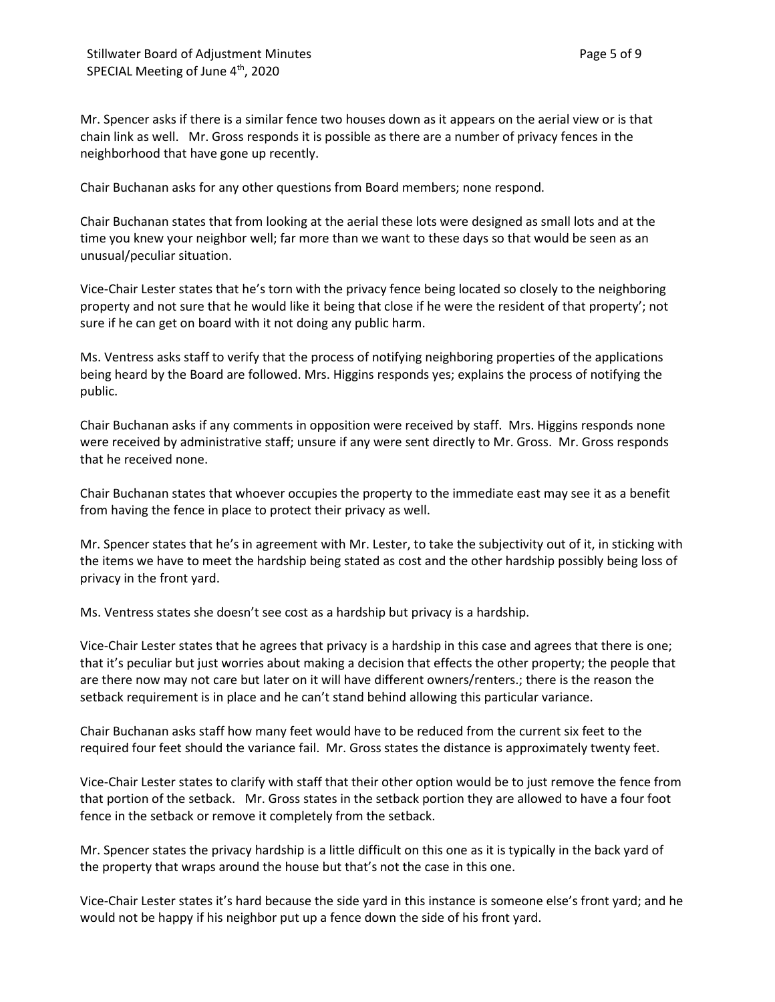Mr. Spencer asks if there is a similar fence two houses down as it appears on the aerial view or is that chain link as well. Mr. Gross responds it is possible as there are a number of privacy fences in the neighborhood that have gone up recently.

Chair Buchanan asks for any other questions from Board members; none respond.

Chair Buchanan states that from looking at the aerial these lots were designed as small lots and at the time you knew your neighbor well; far more than we want to these days so that would be seen as an unusual/peculiar situation.

Vice-Chair Lester states that he's torn with the privacy fence being located so closely to the neighboring property and not sure that he would like it being that close if he were the resident of that property'; not sure if he can get on board with it not doing any public harm.

Ms. Ventress asks staff to verify that the process of notifying neighboring properties of the applications being heard by the Board are followed. Mrs. Higgins responds yes; explains the process of notifying the public.

Chair Buchanan asks if any comments in opposition were received by staff. Mrs. Higgins responds none were received by administrative staff; unsure if any were sent directly to Mr. Gross. Mr. Gross responds that he received none.

Chair Buchanan states that whoever occupies the property to the immediate east may see it as a benefit from having the fence in place to protect their privacy as well.

Mr. Spencer states that he's in agreement with Mr. Lester, to take the subjectivity out of it, in sticking with the items we have to meet the hardship being stated as cost and the other hardship possibly being loss of privacy in the front yard.

Ms. Ventress states she doesn't see cost as a hardship but privacy is a hardship.

Vice-Chair Lester states that he agrees that privacy is a hardship in this case and agrees that there is one; that it's peculiar but just worries about making a decision that effects the other property; the people that are there now may not care but later on it will have different owners/renters.; there is the reason the setback requirement is in place and he can't stand behind allowing this particular variance.

Chair Buchanan asks staff how many feet would have to be reduced from the current six feet to the required four feet should the variance fail. Mr. Gross states the distance is approximately twenty feet.

Vice-Chair Lester states to clarify with staff that their other option would be to just remove the fence from that portion of the setback. Mr. Gross states in the setback portion they are allowed to have a four foot fence in the setback or remove it completely from the setback.

Mr. Spencer states the privacy hardship is a little difficult on this one as it is typically in the back yard of the property that wraps around the house but that's not the case in this one.

Vice-Chair Lester states it's hard because the side yard in this instance is someone else's front yard; and he would not be happy if his neighbor put up a fence down the side of his front yard.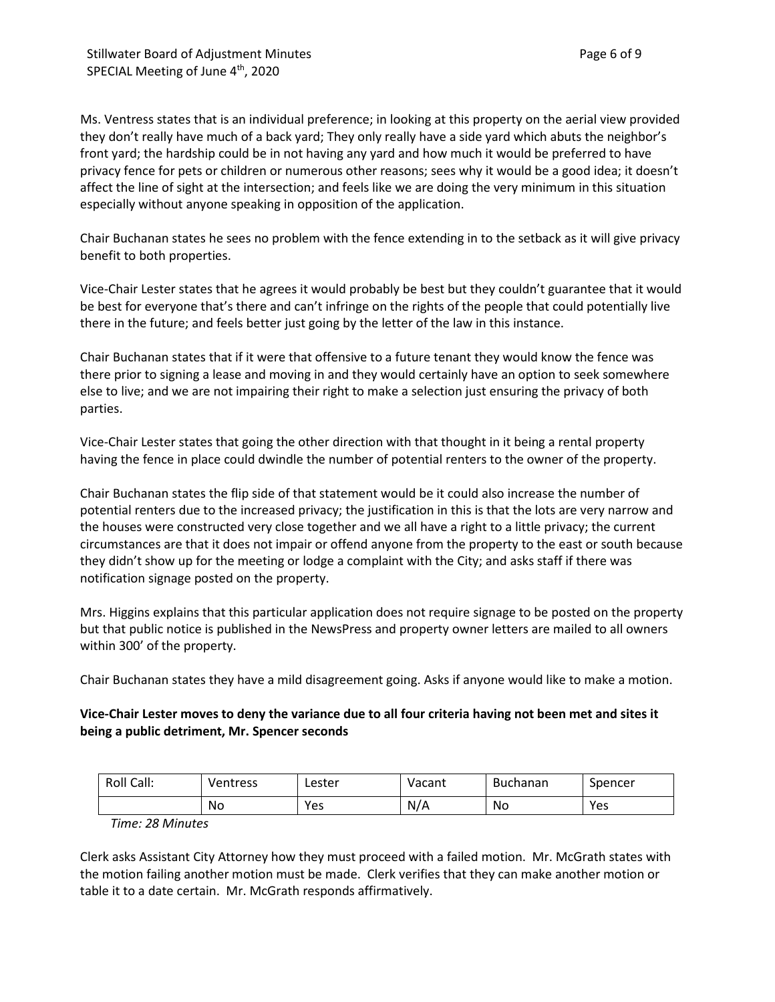Ms. Ventress states that is an individual preference; in looking at this property on the aerial view provided they don't really have much of a back yard; They only really have a side yard which abuts the neighbor's front yard; the hardship could be in not having any yard and how much it would be preferred to have privacy fence for pets or children or numerous other reasons; sees why it would be a good idea; it doesn't affect the line of sight at the intersection; and feels like we are doing the very minimum in this situation especially without anyone speaking in opposition of the application.

Chair Buchanan states he sees no problem with the fence extending in to the setback as it will give privacy benefit to both properties.

Vice-Chair Lester states that he agrees it would probably be best but they couldn't guarantee that it would be best for everyone that's there and can't infringe on the rights of the people that could potentially live there in the future; and feels better just going by the letter of the law in this instance.

Chair Buchanan states that if it were that offensive to a future tenant they would know the fence was there prior to signing a lease and moving in and they would certainly have an option to seek somewhere else to live; and we are not impairing their right to make a selection just ensuring the privacy of both parties.

Vice-Chair Lester states that going the other direction with that thought in it being a rental property having the fence in place could dwindle the number of potential renters to the owner of the property.

Chair Buchanan states the flip side of that statement would be it could also increase the number of potential renters due to the increased privacy; the justification in this is that the lots are very narrow and the houses were constructed very close together and we all have a right to a little privacy; the current circumstances are that it does not impair or offend anyone from the property to the east or south because they didn't show up for the meeting or lodge a complaint with the City; and asks staff if there was notification signage posted on the property.

Mrs. Higgins explains that this particular application does not require signage to be posted on the property but that public notice is published in the NewsPress and property owner letters are mailed to all owners within 300' of the property.

Chair Buchanan states they have a mild disagreement going. Asks if anyone would like to make a motion.

# **Vice-Chair Lester moves to deny the variance due to all four criteria having not been met and sites it being a public detriment, Mr. Spencer seconds**

| Roll Call: | Ventress | Lester | Vacant | Buchanan | Spencer |
|------------|----------|--------|--------|----------|---------|
|            | No       | Yes    | N/A    | No       | Yes     |

*Time: 28 Minutes*

Clerk asks Assistant City Attorney how they must proceed with a failed motion. Mr. McGrath states with the motion failing another motion must be made. Clerk verifies that they can make another motion or table it to a date certain. Mr. McGrath responds affirmatively.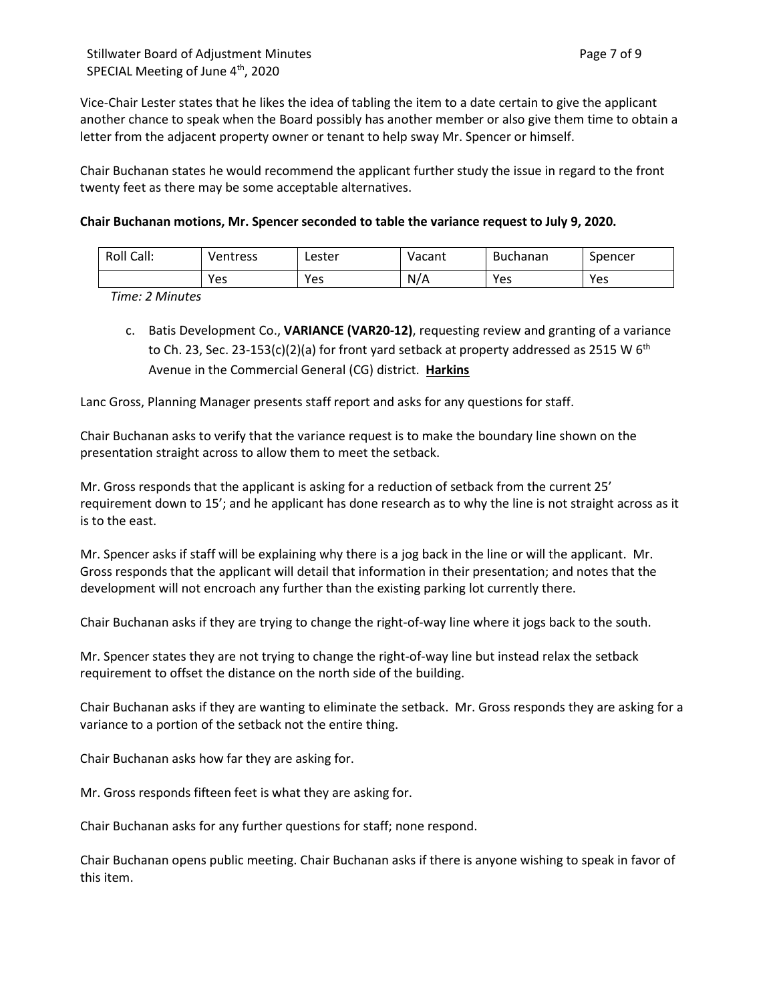Vice-Chair Lester states that he likes the idea of tabling the item to a date certain to give the applicant another chance to speak when the Board possibly has another member or also give them time to obtain a letter from the adjacent property owner or tenant to help sway Mr. Spencer or himself.

Chair Buchanan states he would recommend the applicant further study the issue in regard to the front twenty feet as there may be some acceptable alternatives.

## **Chair Buchanan motions, Mr. Spencer seconded to table the variance request to July 9, 2020.**

| Roll Call: | Ventress | ∟ester | Vacant | <b>Buchanan</b> | Spencer |
|------------|----------|--------|--------|-----------------|---------|
|            | Yes      | Yes    | N/A    | Yes             | Yes     |

*Time: 2 Minutes*

c. Batis Development Co., **VARIANCE (VAR20-12)**, requesting review and granting of a variance to Ch. 23, Sec. 23-153(c)(2)(a) for front yard setback at property addressed as 2515 W 6<sup>th</sup> Avenue in the Commercial General (CG) district. **Harkins**

Lanc Gross, Planning Manager presents staff report and asks for any questions for staff.

Chair Buchanan asks to verify that the variance request is to make the boundary line shown on the presentation straight across to allow them to meet the setback.

Mr. Gross responds that the applicant is asking for a reduction of setback from the current 25' requirement down to 15'; and he applicant has done research as to why the line is not straight across as it is to the east.

Mr. Spencer asks if staff will be explaining why there is a jog back in the line or will the applicant. Mr. Gross responds that the applicant will detail that information in their presentation; and notes that the development will not encroach any further than the existing parking lot currently there.

Chair Buchanan asks if they are trying to change the right-of-way line where it jogs back to the south.

Mr. Spencer states they are not trying to change the right-of-way line but instead relax the setback requirement to offset the distance on the north side of the building.

Chair Buchanan asks if they are wanting to eliminate the setback. Mr. Gross responds they are asking for a variance to a portion of the setback not the entire thing.

Chair Buchanan asks how far they are asking for.

Mr. Gross responds fifteen feet is what they are asking for.

Chair Buchanan asks for any further questions for staff; none respond.

Chair Buchanan opens public meeting. Chair Buchanan asks if there is anyone wishing to speak in favor of this item.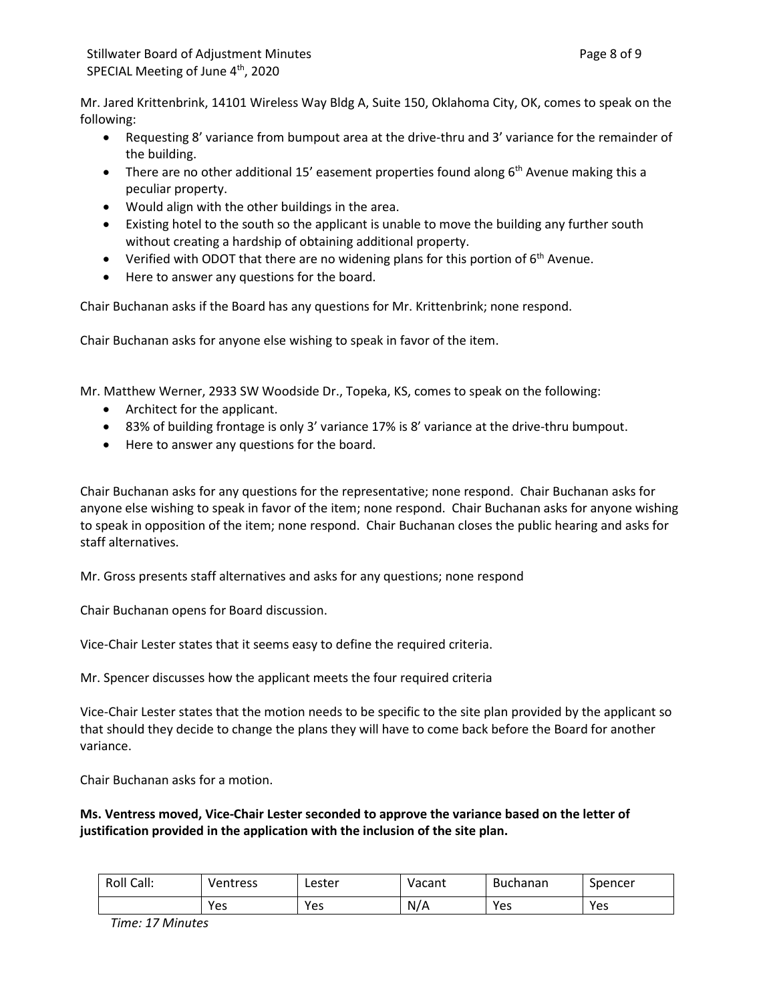Mr. Jared Krittenbrink, 14101 Wireless Way Bldg A, Suite 150, Oklahoma City, OK, comes to speak on the following:

- Requesting 8' variance from bumpout area at the drive-thru and 3' variance for the remainder of the building.
- There are no other additional 15' easement properties found along  $6<sup>th</sup>$  Avenue making this a peculiar property.
- Would align with the other buildings in the area.
- Existing hotel to the south so the applicant is unable to move the building any further south without creating a hardship of obtaining additional property.
- Verified with ODOT that there are no widening plans for this portion of  $6<sup>th</sup>$  Avenue.
- Here to answer any questions for the board.

Chair Buchanan asks if the Board has any questions for Mr. Krittenbrink; none respond.

Chair Buchanan asks for anyone else wishing to speak in favor of the item.

Mr. Matthew Werner, 2933 SW Woodside Dr., Topeka, KS, comes to speak on the following:

- Architect for the applicant.
- 83% of building frontage is only 3' variance 17% is 8' variance at the drive-thru bumpout.
- Here to answer any questions for the board.

Chair Buchanan asks for any questions for the representative; none respond. Chair Buchanan asks for anyone else wishing to speak in favor of the item; none respond. Chair Buchanan asks for anyone wishing to speak in opposition of the item; none respond. Chair Buchanan closes the public hearing and asks for staff alternatives.

Mr. Gross presents staff alternatives and asks for any questions; none respond

Chair Buchanan opens for Board discussion.

Vice-Chair Lester states that it seems easy to define the required criteria.

Mr. Spencer discusses how the applicant meets the four required criteria

Vice-Chair Lester states that the motion needs to be specific to the site plan provided by the applicant so that should they decide to change the plans they will have to come back before the Board for another variance.

Chair Buchanan asks for a motion.

**Ms. Ventress moved, Vice-Chair Lester seconded to approve the variance based on the letter of justification provided in the application with the inclusion of the site plan.** 

| Roll Call: | Ventress | Lester | Vacant | <b>Buchanan</b> | Spencer |
|------------|----------|--------|--------|-----------------|---------|
|            | Yes      | Yes    | N/A    | Yes             | Yes     |

*Time: 17 Minutes*